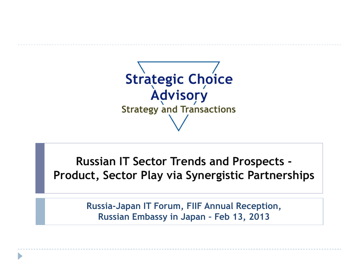

**Russian IT Sector Trends and Prospects - Product, Sector Play via Synergistic Partnerships**

> **Russia-Japan IT Forum, FIIF Annual Reception, Russian Embassy in Japan – Feb 13, 2013**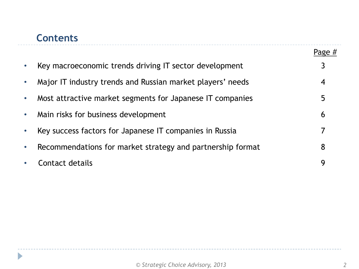## **Contents**

 $\blacktriangleright$ 

|           |                                                            | Page $#$         |
|-----------|------------------------------------------------------------|------------------|
| $\bullet$ | Key macroeconomic trends driving IT sector development     | 3                |
| $\bullet$ | Major IT industry trends and Russian market players' needs | $\boldsymbol{4}$ |
| $\bullet$ | Most attractive market segments for Japanese IT companies  | 5                |
| $\bullet$ | Main risks for business development                        | 6                |
| $\bullet$ | Key success factors for Japanese IT companies in Russia    | 7                |
| $\bullet$ | Recommendations for market strategy and partnership format | 8                |
| $\bullet$ | Contact details                                            | 9                |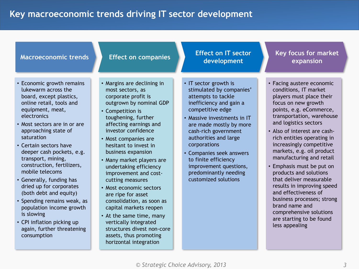## **Table of contents Key macroeconomic trends driving IT sector development**

| <b>Macroeconomic trends</b>                                                                                                                                                                                                                                                                                                                                                                                                                                                                                                                                                         | <b>Effect on companies</b>                                                                                                                                                                                                                                                                                                                                                                                                                                                                                                                                                                                             | <b>Effect on IT sector</b><br>development                                                                                                                                                                                                                                                                                                                                        | <b>Key focus for market</b><br>expansion                                                                                                                                                                                                                                                                                                                                                                                                                                                                                                                                                                   |
|-------------------------------------------------------------------------------------------------------------------------------------------------------------------------------------------------------------------------------------------------------------------------------------------------------------------------------------------------------------------------------------------------------------------------------------------------------------------------------------------------------------------------------------------------------------------------------------|------------------------------------------------------------------------------------------------------------------------------------------------------------------------------------------------------------------------------------------------------------------------------------------------------------------------------------------------------------------------------------------------------------------------------------------------------------------------------------------------------------------------------------------------------------------------------------------------------------------------|----------------------------------------------------------------------------------------------------------------------------------------------------------------------------------------------------------------------------------------------------------------------------------------------------------------------------------------------------------------------------------|------------------------------------------------------------------------------------------------------------------------------------------------------------------------------------------------------------------------------------------------------------------------------------------------------------------------------------------------------------------------------------------------------------------------------------------------------------------------------------------------------------------------------------------------------------------------------------------------------------|
| • Economic growth remains<br>lukewarm across the<br>board, except plastics,<br>online retail, tools and<br>equipment, meat,<br>electronics<br>• Most sectors are in or are<br>approaching state of<br>saturation<br>• Certain sectors have<br>deeper cash pockets, e.g.<br>transport, mining,<br>construction, fertilizers,<br>mobile telecoms<br>• Generally, funding has<br>dried up for corporates<br>(both debt and equity)<br>• Spending remains weak, as<br>population income growth<br>is slowing<br>• CPI inflation picking up<br>again, further threatening<br>consumption | • Margins are declining in<br>most sectors, as<br>corporate profit is<br>outgrown by nominal GDP<br>• Competition is<br>toughening, further<br>affecting earnings and<br>investor confidence<br>• Most companies are<br>hesitant to invest in<br>business expansion<br>• Many market players are<br>undertaking efficiency<br>improvement and cost-<br>cutting measures<br>• Most economic sectors<br>are ripe for asset<br>consolidation, as soon as<br>capital markets reopen<br>• At the same time, many<br>vertically integrated<br>structures divest non-core<br>assets, thus promoting<br>horizontal integration | • IT sector growth is<br>stimulated by companies'<br>attempts to tackle<br>inefficiency and gain a<br>competitive edge<br>• Massive investments in IT<br>are made mostly by more<br>cash-rich government<br>authorities and large<br>corporations<br>• Companies seek answers<br>to finite efficiency<br>improvement questions,<br>predominantly needing<br>customized solutions | • Facing austere economic<br>conditions, IT market<br>players must place their<br>focus on new growth<br>points, e.g. eCommerce,<br>transportation, warehouse<br>and logistics sectors<br>• Also of interest are cash-<br>rich entities operating in<br>increasingly competitive<br>markets, e.g. oil product<br>manufacturing and retail<br>• Emphasis must be put on<br>products and solutions<br>that deliver measurable<br>results in improving speed<br>and effectiveness of<br>business processes; strong<br>brand name and<br>comprehensive solutions<br>are starting to be found<br>less appealing |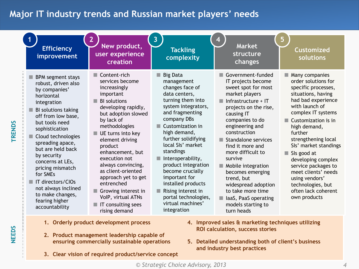### **Major IT** industry trends and Russian market players' needs

| <b>Efficiency</b><br>improvement                                                                                                                                                                                                                                                                                                                                                                                     | 2<br>New product,<br>user experience<br>creation                                                                                                                                                                                                                                                                                                                                                                              | <b>Tackling</b><br>complexity                                                                                                                                                                                                                                                                                                                                                                                                              | <b>Market</b><br>structure<br>changes                                                                                                                                                                                                                                                                                                                                                                                                                          | 5<br><b>Customized</b><br>solutions                                                                                                                                                                                                                                                                                                                                                                                                |
|----------------------------------------------------------------------------------------------------------------------------------------------------------------------------------------------------------------------------------------------------------------------------------------------------------------------------------------------------------------------------------------------------------------------|-------------------------------------------------------------------------------------------------------------------------------------------------------------------------------------------------------------------------------------------------------------------------------------------------------------------------------------------------------------------------------------------------------------------------------|--------------------------------------------------------------------------------------------------------------------------------------------------------------------------------------------------------------------------------------------------------------------------------------------------------------------------------------------------------------------------------------------------------------------------------------------|----------------------------------------------------------------------------------------------------------------------------------------------------------------------------------------------------------------------------------------------------------------------------------------------------------------------------------------------------------------------------------------------------------------------------------------------------------------|------------------------------------------------------------------------------------------------------------------------------------------------------------------------------------------------------------------------------------------------------------------------------------------------------------------------------------------------------------------------------------------------------------------------------------|
| <b>BPM</b> segment stays<br>robust, driven also<br>by companies'<br>horizontal<br>integration<br>BI solutions taking<br>off from low base,<br>but tools need<br>sophistication<br>Cloud technologies<br>spreading apace,<br>but are held back<br>by security<br>concerns at LEs,<br>pricing mismatch<br>for SMEs<br>IT directors/CIOs<br>not always inclined<br>to make changes,<br>fearing higher<br>accountability | Content-rich<br>services become<br>increasingly<br>important<br><b>BI</b> solutions<br>developing rapidly,<br>but adoption slowed<br>by lack of<br>methodologies<br>UE turns into key<br>element driving<br>product<br>enhancement, but<br>execution not<br>always convincing,<br>as client-oriented<br>approach yet to get<br>entrenched<br>Growing interest in<br>VolP, virtual ATNs<br>IT consulting sees<br>rising demand | <b>Big Data</b><br>٠<br>management<br>changes face of<br>data centers,<br>turning them into<br>system integrators,<br>and fragmenting<br>company DBs<br>Customization in<br>high demand,<br>further solidifying<br>local SIs' market<br>standings<br>Interoperability,<br>product integration<br>become crucially<br>important for<br>installed products<br>Rising interest in<br>portal technologies,<br>virtual machines'<br>integration | Government-funded<br>IT projects become<br>sweet spot for most<br>market players<br>$\blacksquare$ Infrastructure + IT<br>projects on the rise,<br>causing IT<br>companies to do<br>engineering and<br>construction<br>Standalone services<br>find it more and<br>more difficult to<br>survive<br>Mobile integration<br>becomes emerging<br>trend, but<br>widespread adoption<br>to take more time<br>laaS, PaaS operating<br>models starting to<br>turn heads | $\blacksquare$ Many companies<br>order solutions for<br>specific processes,<br>situations, having<br>had bad experience<br>with launch of<br>complex IT systems<br>Customization is in<br>high demand,<br>further<br>strengthening local<br>SIs' market standings<br>Sis good at<br>developing complex<br>service packages to<br>meet clients' needs<br>using vendors'<br>technologies, but<br>often lack coherent<br>own products |
| 1. Orderly product development process<br>4. Improved sales & marketing techniques utilizing<br><b>ROI calculation, success stories</b><br>2. Product management leadership capable of<br>ensuring commercially sustainable operations<br>5. Detailed understanding both of client's business                                                                                                                        |                                                                                                                                                                                                                                                                                                                                                                                                                               |                                                                                                                                                                                                                                                                                                                                                                                                                                            |                                                                                                                                                                                                                                                                                                                                                                                                                                                                |                                                                                                                                                                                                                                                                                                                                                                                                                                    |

**3. Clear vision of required product/service concept**

**TRENDS**

**NEEDS**

**and industry best practices**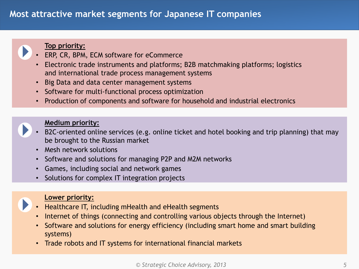### **Most attractive market segments for Japanese IT companies**



#### **Top priority:**

- ERP, CR, BPM, ECM software for eCommerce
- Electronic trade instruments and platforms; B2B matchmaking platforms; logistics and international trade process management systems
- Big Data and data center management systems
- Software for multi-functional process optimization
- Production of components and software for household and industrial electronics

#### **Medium priority:**

- B2C-oriented online services (e.g. online ticket and hotel booking and trip planning) that may be brought to the Russian market
- Mesh network solutions
- Software and solutions for managing P2P and M2M networks
- Games, including social and network games
- Solutions for complex IT integration projects



#### **Lower priority:**

- Healthcare IT, including mHealth and eHealth segments
- Internet of things (connecting and controlling various objects through the Internet)
- Software and solutions for energy efficiency (including smart home and smart building systems)
- Trade robots and IT systems for international financial markets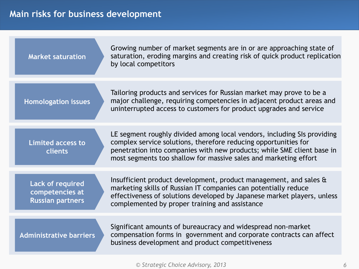## **Main Table of contents risks for business development**

| <b>Market saturation</b>                                              | Growing number of market segments are in or are approaching state of<br>saturation, eroding margins and creating risk of quick product replication<br>by local competitors                                                                                                               |
|-----------------------------------------------------------------------|------------------------------------------------------------------------------------------------------------------------------------------------------------------------------------------------------------------------------------------------------------------------------------------|
| <b>Homologation issues</b>                                            | Tailoring products and services for Russian market may prove to be a<br>major challenge, requiring competencies in adjacent product areas and<br>uninterrupted access to customers for product upgrades and service                                                                      |
| <b>Limited access to</b><br>clients                                   | LE segment roughly divided among local vendors, including SIs providing<br>complex service solutions, therefore reducing opportunities for<br>penetration into companies with new products; while SME client base in<br>most segments too shallow for massive sales and marketing effort |
| <b>Lack of required</b><br>competencies at<br><b>Russian partners</b> | Insufficient product development, product management, and sales &<br>marketing skills of Russian IT companies can potentially reduce<br>effectiveness of solutions developed by Japanese market players, unless<br>complemented by proper training and assistance                        |
| <b>Administrative barriers</b>                                        | Significant amounts of bureaucracy and widespread non-market<br>compensation forms in government and corporate contracts can affect<br>business development and product competitiveness                                                                                                  |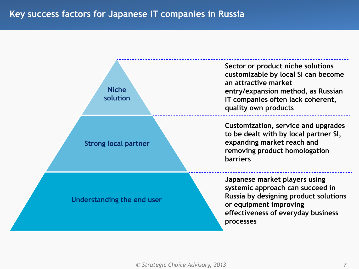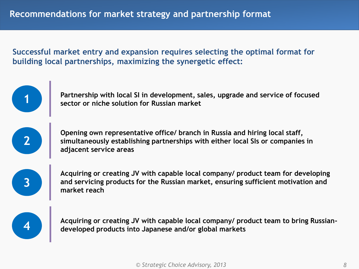**Successful market entry and expansion requires selecting the optimal format for building local partnerships, maximizing the synergetic effect:**

> **Partnership with local SI in development, sales, upgrade and service of focused sector or niche solution for Russian market**

**2**

**3**

**1**

**Opening own representative office/ branch in Russia and hiring local staff, simultaneously establishing partnerships with either local SIs or companies in adjacent service areas**

**Acquiring or creating JV with capable local company/ product team for developing and servicing products for the Russian market, ensuring sufficient motivation and market reach**

**4**

**Acquiring or creating JV with capable local company/ product team to bring Russiandeveloped products into Japanese and/or global markets**